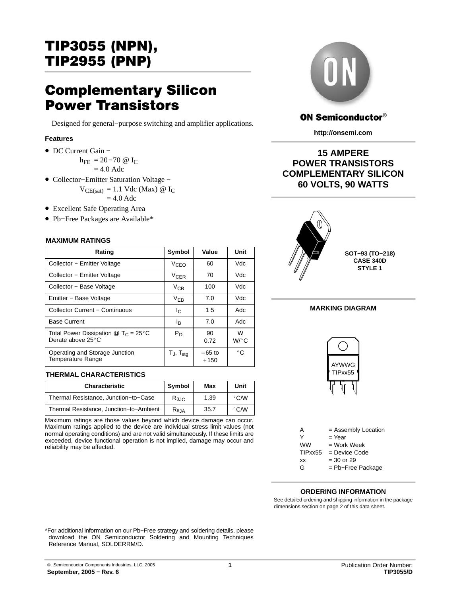# TIP3055 (NPN), TIP2955 (PNP)

# Complementary Silicon Power Transistors

Designed for general−purpose switching and amplifier applications.

## **Features**

• DC Current Gain −

h<sub>FE</sub> = 20−70 @ I<sub>C</sub>  $= 4.0$  Adc

- Collector−Emitter Saturation Voltage −  $V_{CE(sat)} = 1.1$  Vdc (Max) @ I<sub>C</sub>  $= 4.0$  Adc
- Excellent Safe Operating Area
- Pb−Free Packages are Available\*

#### ÎÎÎÎÎÎÎÎÎÎÎÎÎÎÎÎÎÎÎ **MAXIMUM RATINGS**

| Rating                                                                                                      | Symbol                                 | Value              | Unit         |                |
|-------------------------------------------------------------------------------------------------------------|----------------------------------------|--------------------|--------------|----------------|
| Collector - Emitter Voltage                                                                                 | V <sub>CEO</sub>                       | 60                 | Vdc          |                |
| Collector - Emitter Voltage                                                                                 | <b>V<sub>CER</sub></b>                 | 70                 | Vdc          |                |
| Collector - Base Voltage                                                                                    | $V_{CB}$                               | 100                | Vdc          |                |
| Emitter - Base Voltage                                                                                      | $V_{EB}$                               | 7.0                | Vdc          |                |
| <b>Collector Current - Continuous</b>                                                                       | Ic.                                    | 15                 | Adc          | <b>MARKING</b> |
| <b>Base Current</b>                                                                                         | l <sub>B</sub>                         | 7.0                | Adc          |                |
| Total Power Dissipation $\textcircled{1}$ T <sub>C</sub> = 25 <sup>°</sup> C<br>Derate above $25^{\circ}$ C | $P_D$                                  | 90<br>0.72         | W<br>$W$ /°C |                |
| Operating and Storage Junction<br>Temperature Range                                                         | T $_{\mathsf{J}},$ T $_{\mathsf{stg}}$ | $-65$ to<br>$+150$ | $^{\circ}$ C | $\sim$         |

## ÎÎÎÎÎÎÎÎÎÎÎÎ ÎÎÎÎÎÎÎÎÎÎÎÎÎÎÎÎÎÎÎÎÎÎÎÎÎÎÎÎÎÎÎ **THERMAL CHARACTERISTICS**

| <b>Characteristic</b>                   | <b>Symbol</b>          | Max  | Unit          |
|-----------------------------------------|------------------------|------|---------------|
| Thermal Resistance, Junction-to-Case    | $R_{\theta \text{JC}}$ | 1.39 | $\degree$ C/W |
| Thermal Resistance, Junction-to-Ambient | $R_{\theta,JA}$        | 35.7 | $\degree$ C/W |

Maximum ratings are those values beyond which device damage can occur. Maximum ratings applied to the device are individual stress limit values (not normal operating conditions) and are not valid simultaneously. If these limits are exceeded, device functional operation is not implied, damage may occur and reliability may be affected.



## **ON Semiconductor®**

**http://onsemi.com**

## **15 AMPERE POWER TRANSISTORS COMPLEMENTARY SILICON 60 VOLTS, 90 WATTS**





| ww      | $=$ Work Week     |
|---------|-------------------|
| TIPxx55 | = Device Code     |
| xх      | $=$ 30 or 29      |
| G       | = Pb-Free Package |

## **ORDERING INFORMATION**

See detailed ordering and shipping information in the package dimensions section on page [2 of this data sheet.](#page-1-0)

\*For additional information on our Pb−Free strategy and soldering details, please download the ON Semiconductor Soldering and Mounting Techniques Reference Manual, SOLDERRM/D.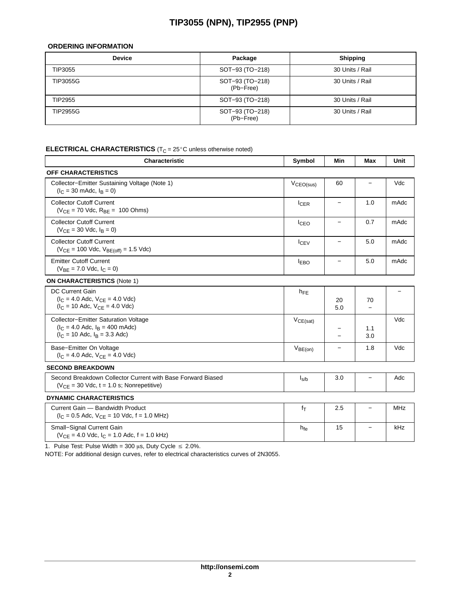## **TIP3055 (NPN), TIP2955 (PNP)**

## <span id="page-1-0"></span>**ORDERING INFORMATION**

| <b>Device</b>   | Package                      | <b>Shipping</b> |  |
|-----------------|------------------------------|-----------------|--|
| TIP3055         | SOT-93 (TO-218)              | 30 Units / Rail |  |
| <b>TIP3055G</b> | SOT-93 (TO-218)<br>(Pb-Free) | 30 Units / Rail |  |
| TIP2955         | SOT-93 (TO-218)              | 30 Units / Rail |  |
| TIP2955G        | SOT-93 (TO-218)<br>(Pb-Free) | 30 Units / Rail |  |

#### E E E WIT AN TROUBLE WELFSTAND A ETATWET LWW THE EXTREMINISM ORIGINAL INGOLAL INGOLAL INGOLAL INGOLAL INGOLAL I C unless otherwise noted)

| <b>Characteristic</b>                                                                                            | Symbol         | Min                      | <b>Max</b>               | Unit                     |
|------------------------------------------------------------------------------------------------------------------|----------------|--------------------------|--------------------------|--------------------------|
| OFF CHARACTERISTICS                                                                                              |                |                          |                          |                          |
| Collector-Emitter Sustaining Voltage (Note 1)<br>$(I_C = 30 \text{ m}$ Adc, $I_B = 0$ )                          | $V_{CEO(sus)}$ | 60                       | $\overline{a}$           | Vdc                      |
| <b>Collector Cutoff Current</b><br>$(V_{CE} = 70$ Vdc, $R_{BE} = 100$ Ohms)                                      | $I_{CER}$      | $\overline{\phantom{m}}$ | 1.0                      | mAdc                     |
| <b>Collector Cutoff Current</b><br>$(V_{CF} = 30$ Vdc, $I_B = 0$ )                                               | $I_{CEO}$      | $\qquad \qquad -$        | 0.7                      | mAdc                     |
| <b>Collector Cutoff Current</b><br>$(V_{CE} = 100$ Vdc, $V_{BE(off)} = 1.5$ Vdc)                                 | $I_{CEV}$      | $\qquad \qquad -$        | 5.0                      | mAdc                     |
| <b>Emitter Cutoff Current</b><br>$(V_{BF} = 7.0$ Vdc, $I_C = 0$ )                                                | <b>IEBO</b>    | $\overline{\phantom{0}}$ | 5.0                      | mAdc                     |
| <b>ON CHARACTERISTICS (Note 1)</b>                                                                               |                |                          |                          |                          |
| <b>DC Current Gain</b><br>$(I_C = 4.0$ Adc, $V_{CE} = 4.0$ Vdc)<br>$(I_C = 10$ Adc, $V_{CF} = 4.0$ Vdc)          | $h_{FE}$       | 20<br>5.0                | 70<br>$\equiv$           | $\overline{\phantom{0}}$ |
| Collector-Emitter Saturation Voltage<br>$(I_C = 4.0$ Adc, $I_R = 400$ mAdc)<br>$(I_C = 10$ Adc, $I_B = 3.3$ Adc) | $V_{CE(sat)}$  | $\overline{\phantom{0}}$ | 1.1<br>3.0               | Vdc                      |
| Base-Emitter On Voltage<br>$(I_C = 4.0$ Adc, $V_{CF} = 4.0$ Vdc)                                                 | $V_{BE(on)}$   | $\overline{\phantom{m}}$ | 1.8                      | Vdc                      |
| <b>SECOND BREAKDOWN</b>                                                                                          |                |                          |                          |                          |
| Second Breakdown Collector Current with Base Forward Biased<br>$(V_{CF} = 30$ Vdc, t = 1.0 s; Nonrepetitive)     | $I_{s/b}$      | 3.0                      | $\qquad \qquad -$        | Adc                      |
| <b>DYNAMIC CHARACTERISTICS</b>                                                                                   |                |                          |                          |                          |
| Current Gain - Bandwidth Product<br>$(I_C = 0.5$ Adc, $V_{CE} = 10$ Vdc, $f = 1.0$ MHz)                          | $f_T$          | 2.5                      | $\overline{\phantom{0}}$ | <b>MHz</b>               |
| Small-Signal Current Gain<br>$(V_{CF} = 4.0$ Vdc, $I_C = 1.0$ Adc, $f = 1.0$ kHz)                                | $h_{fe}$       | 15                       | $\qquad \qquad -$        | kHz                      |
|                                                                                                                  |                |                          |                          |                          |

1. Pulse Test: Pulse Width =  $300 \mu s$ , Duty Cycle  $\leq 2.0\%$ .

NOTE: For additional design curves, refer to electrical characteristics curves of 2N3055.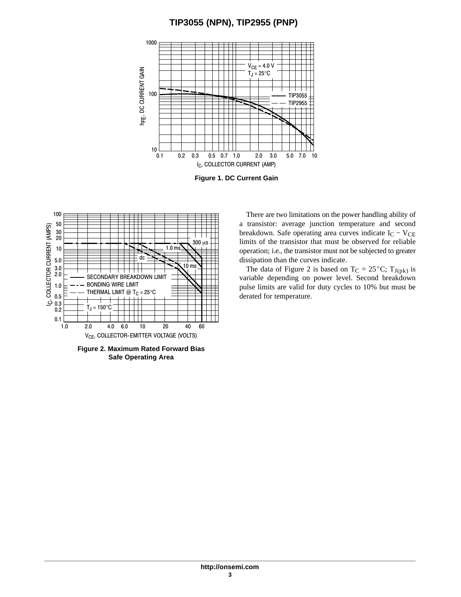## **TIP3055 (NPN), TIP2955 (PNP)**



**Figure 1. DC Current Gain**



**Figure 2. Maximum Rated Forward Bias Safe Operating Area**

There are two limitations on the power handling ability of a transistor: average junction temperature and second breakdown. Safe operating area curves indicate  $I_C - V_{CE}$ limits of the transistor that must be observed for reliable operation; i.e., the transistor must not be subjected to greater dissipation than the curves indicate. Example, the data of Figure 2 is based on  $T_C = 25^{\circ}C$ ;  $T_{J(pk)}$  is

variable depending on power level. Second breakdown pulse limits are valid for duty cycles to 10% but must be derated for temperature.